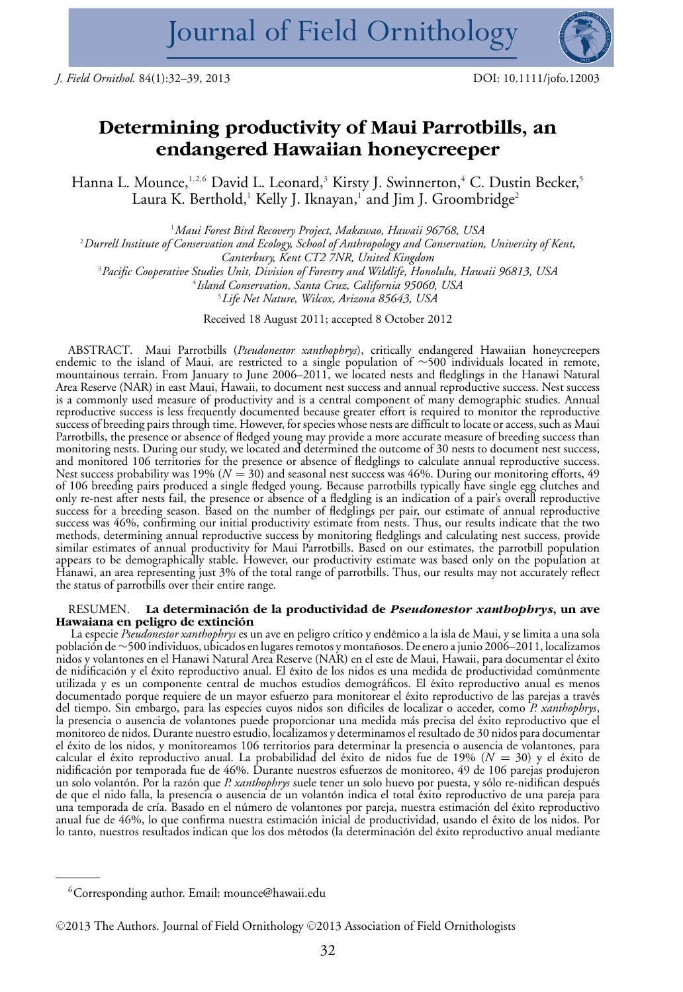

# **Determining productivity of Maui Parrotbills, an endangered Hawaiian honeycreeper**

Hanna L. Mounce,<sup>1,2,6</sup> David L. Leonard,<sup>3</sup> Kirsty J. Swinnerton,<sup>4</sup> C. Dustin Becker,<sup>5</sup> Laura K. Berthold,<sup>1</sup> Kelly J. Iknayan,<sup>1</sup> and Jim J. Groombridge<sup>2</sup>

 *Maui Forest Bird Recovery Project, Makawao, Hawaii 96768, USA Durrell Institute of Conservation and Ecology, School of Anthropology and Conservation, University of Kent, Canterbury, Kent CT2 7NR, United Kingdom Pacific Cooperative Studies Unit, Division of Forestry and Wildlife, Honolulu, Hawaii 96813, USA Island Conservation, Santa Cruz, California 95060, USA Life Net Nature, Wilcox, Arizona 85643, USA*

Received 18 August 2011; accepted 8 October 2012

ABSTRACT. Maui Parrotbills (*Pseudonestor xanthophrys*), critically endangered Hawaiian honeycreepers endemic to the island of Maui, are restricted to a single population of ∼500 individuals located in remote, mountainous terrain. From January to June 2006–2011, we located nests and fledglings in the Hanawi Natural Area Reserve (NAR) in east Maui, Hawaii, to document nest success and annual reproductive success. Nest success is a commonly used measure of productivity and is a central component of many demographic studies. Annual reproductive success is less frequently documented because greater effort is required to monitor the reproductive success of breeding pairs through time. However, for species whose nests are difficult to locate or access, such as Maui Parrotbills, the presence or absence of fledged young may provide a more accurate measure of breeding success than monitoring nests. During our study, we located and determined the outcome of 30 nests to document nest success, and monitored 106 territories for the presence or absence of fledglings to calculate annual reproductive success. Nest success probability was 19% ( $N = 30$ ) and seasonal nest success was 46%. During our monitoring efforts, 49 of 106 breeding pairs produced a single fledged young. Because parrotbills typically have single egg clutches and only re-nest after nests fail, the presence or absence of a fledgling is an indication of a pair's overall reproductive success for a breeding season. Based on the number of fledglings per pair, our estimate of annual reproductive success was 46%, confirming our initial productivity estimate from nests. Thus, our results indicate that the two methods, determining annual reproductive success by monitoring fledglings and calculating nest success, provide similar estimates of annual productivity for Maui Parrotbills. Based on our estimates, the parrotbill population appears to be demographically stable. However, our productivity estimate was based only on the population at Hanawi, an area representing just 3% of the total range of parrotbills. Thus, our results may not accurately reflect the status of parrotbills over their entire range.

## RESUMEN. **La determinacion de la productividad de ´** *Pseudonestor xanthophrys***, un ave** Hawaiana en peligro de extinción<br>La especie *Pseudonestor xanthophrys* es un ave en peligro crítico y endémico a la isla de Maui, y se limita a una sola

población de ~500 individuos, ubicados en lugares remotos y montañosos. De enero a junio 2006–2011, localizamos<br>nidos y volantones en el Hanawi Natural Area Reserve (NAR) en el este de Maui, Hawaii, para documentar el éxit la presencia o ausencia de volantones puede proporcionar una medida más precisa del éxito reproductivo que el<br>monitoreo de nidos. Durante nuestro estudio, localizamos y determinamos el resultado de 30 nidos para documentar el éxito de los nidos, y monitoreamos 106 territorios para determinar la presencia o ausencia de volantones, para<br>calcular el éxito reproductivo anual. La probabilidad del éxito de nidos fue de 19% ( $N = 30$ ) y el éxito de nidificación por temporada fue de 46%. Durante nuestros esfuerzos de monitoreo, 49 de 106 parejas produjeron<br>un solo volantón. Por la razón que *P. xanthophrys* suele tener un solo huevo por puesta, y sólo re-nidifican des

 ${}^{6}$ Corresponding author. Email: mounce@hawaii.edu

<sup>© 2013</sup> The Authors. Journal of Field Ornithology © 2013 Association of Field Ornithologists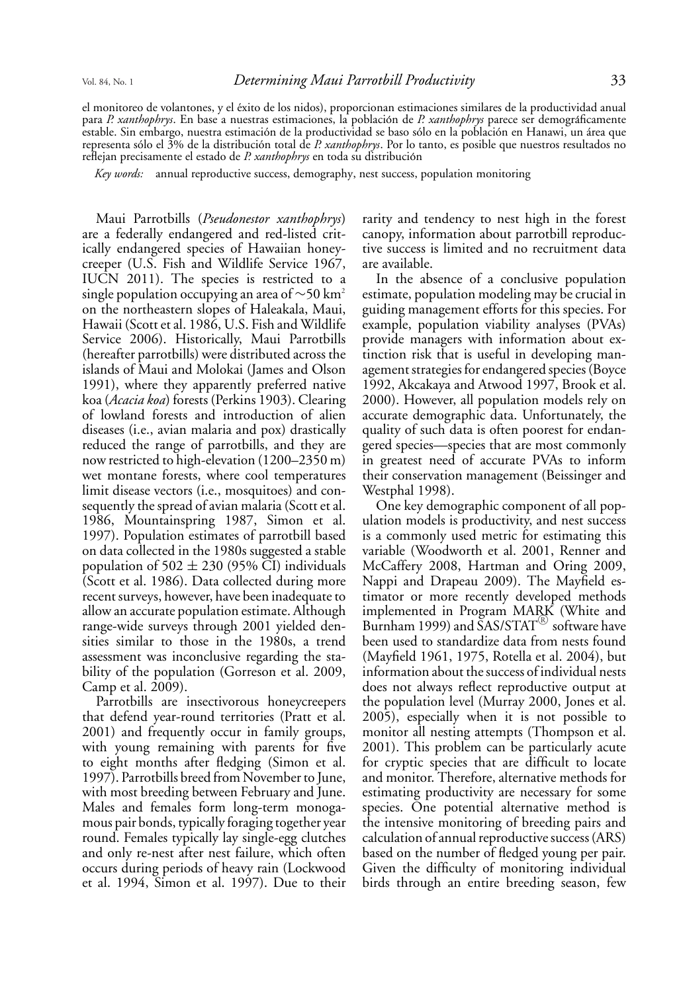el monitoreo de volantones, y el éxito de los nidos), proporcionan estimaciones similares de la productividad anual<br>para *P. xanthophrys*. En base a nuestras estimaciones, la población de *P. xanthophrys* parece ser demogr reflejan precisamente el estado de *P. xanthophrys* en toda su distribucion´

*Key words:* annual reproductive success, demography, nest success, population monitoring

Maui Parrotbills (*Pseudonestor xanthophrys*) are a federally endangered and red-listed critically endangered species of Hawaiian honeycreeper (U.S. Fish and Wildlife Service 1967, IUCN 2011). The species is restricted to a single population occupying an area of  $\sim$ 50 km<sup>2</sup> on the northeastern slopes of Haleakala, Maui, Hawaii (Scott et al. 1986, U.S. Fish and Wildlife Service 2006). Historically, Maui Parrotbills (hereafter parrotbills) were distributed across the islands of Maui and Molokai (James and Olson 1991), where they apparently preferred native koa (*Acacia koa*) forests (Perkins 1903). Clearing of lowland forests and introduction of alien diseases (i.e., avian malaria and pox) drastically reduced the range of parrotbills, and they are now restricted to high-elevation (1200–2350 m) wet montane forests, where cool temperatures limit disease vectors (i.e., mosquitoes) and consequently the spread of avian malaria (Scott et al. 1986, Mountainspring 1987, Simon et al. 1997). Population estimates of parrotbill based on data collected in the 1980s suggested a stable population of  $502 \pm 230$  (95% CI) individuals (Scott et al. 1986). Data collected during more recent surveys, however, have been inadequate to allow an accurate population estimate. Although range-wide surveys through 2001 yielded densities similar to those in the 1980s, a trend assessment was inconclusive regarding the stability of the population (Gorreson et al. 2009, Camp et al. 2009).

Parrotbills are insectivorous honeycreepers that defend year-round territories (Pratt et al. 2001) and frequently occur in family groups, with young remaining with parents for five to eight months after fledging (Simon et al. 1997). Parrotbills breed from November to June, with most breeding between February and June. Males and females form long-term monogamous pair bonds, typically foraging together year round. Females typically lay single-egg clutches and only re-nest after nest failure, which often occurs during periods of heavy rain (Lockwood et al. 1994, Simon et al. 1997). Due to their rarity and tendency to nest high in the forest canopy, information about parrotbill reproductive success is limited and no recruitment data are available.

In the absence of a conclusive population estimate, population modeling may be crucial in guiding management efforts for this species. For example, population viability analyses (PVAs) provide managers with information about extinction risk that is useful in developing management strategies for endangered species (Boyce 1992, Akcakaya and Atwood 1997, Brook et al. 2000). However, all population models rely on accurate demographic data. Unfortunately, the quality of such data is often poorest for endangered species—species that are most commonly in greatest need of accurate PVAs to inform their conservation management (Beissinger and Westphal 1998).

One key demographic component of all population models is productivity, and nest success is a commonly used metric for estimating this variable (Woodworth et al. 2001, Renner and McCaffery 2008, Hartman and Oring 2009, Nappi and Drapeau 2009). The Mayfield estimator or more recently developed methods implemented in Program MARK (White and Burnham 1999) and  $\overset{\text{S}}{\text{A}}$ S/STAT $^\text{\textregistered}$  software have been used to standardize data from nests found (Mayfield 1961, 1975, Rotella et al. 2004), but information about the success of individual nests does not always reflect reproductive output at the population level (Murray 2000, Jones et al. 2005), especially when it is not possible to monitor all nesting attempts (Thompson et al. 2001). This problem can be particularly acute for cryptic species that are difficult to locate and monitor. Therefore, alternative methods for estimating productivity are necessary for some species. One potential alternative method is the intensive monitoring of breeding pairs and calculation of annual reproductive success (ARS) based on the number of fledged young per pair. Given the difficulty of monitoring individual birds through an entire breeding season, few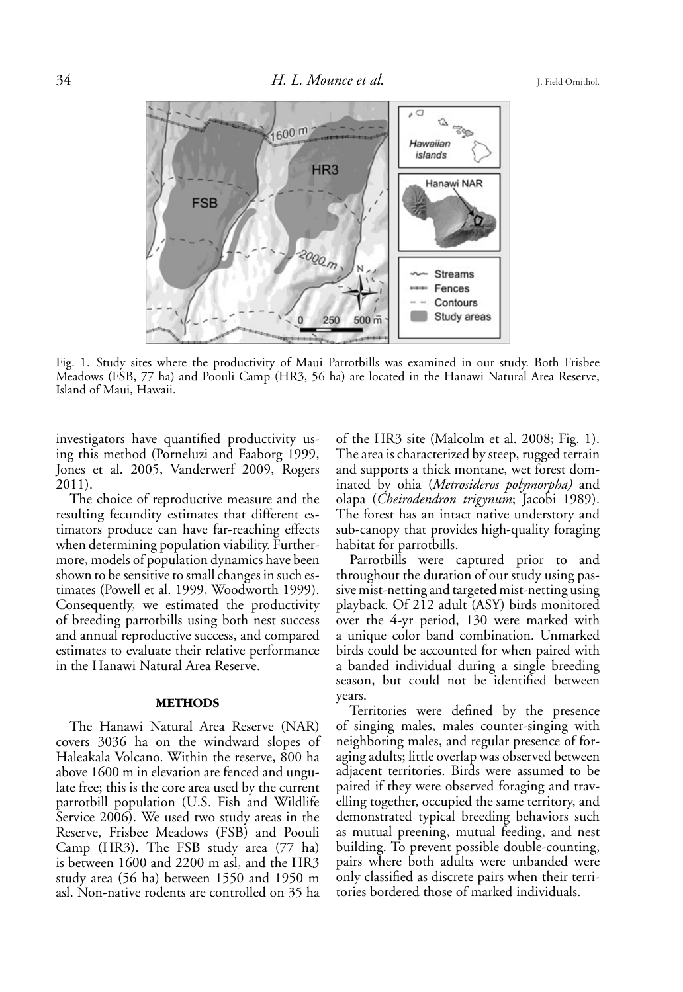

Fig. 1. Study sites where the productivity of Maui Parrotbills was examined in our study. Both Frisbee Meadows (FSB, 77 ha) and Poouli Camp (HR3, 56 ha) are located in the Hanawi Natural Area Reserve, Island of Maui, Hawaii.

investigators have quantified productivity using this method (Porneluzi and Faaborg 1999, Jones et al. 2005, Vanderwerf 2009, Rogers 2011).

The choice of reproductive measure and the resulting fecundity estimates that different estimators produce can have far-reaching effects when determining population viability. Furthermore, models of population dynamics have been shown to be sensitive to small changes in such estimates (Powell et al. 1999, Woodworth 1999). Consequently, we estimated the productivity of breeding parrotbills using both nest success and annual reproductive success, and compared estimates to evaluate their relative performance in the Hanawi Natural Area Reserve.

### **METHODS**

The Hanawi Natural Area Reserve (NAR) covers 3036 ha on the windward slopes of Haleakala Volcano. Within the reserve, 800 ha above 1600 m in elevation are fenced and ungulate free; this is the core area used by the current parrotbill population (U.S. Fish and Wildlife Service 2006). We used two study areas in the Reserve, Frisbee Meadows (FSB) and Poouli Camp (HR3). The FSB study area (77 ha) is between 1600 and 2200 m asl, and the HR3 study area (56 ha) between 1550 and 1950 m asl. Non-native rodents are controlled on 35 ha

of the HR3 site (Malcolm et al. 2008; Fig. 1). The area is characterized by steep, rugged terrain and supports a thick montane, wet forest dominated by ohia (*Metrosideros polymorpha)* and olapa (*Cheirodendron trigynum*; Jacobi 1989). The forest has an intact native understory and sub-canopy that provides high-quality foraging habitat for parrotbills.

Parrotbills were captured prior to and throughout the duration of our study using passive mist-netting and targeted mist-netting using playback. Of 212 adult (ASY) birds monitored over the 4-yr period, 130 were marked with a unique color band combination. Unmarked birds could be accounted for when paired with a banded individual during a single breeding season, but could not be identified between years.

Territories were defined by the presence of singing males, males counter-singing with neighboring males, and regular presence of foraging adults; little overlap was observed between adjacent territories. Birds were assumed to be paired if they were observed foraging and travelling together, occupied the same territory, and demonstrated typical breeding behaviors such as mutual preening, mutual feeding, and nest building. To prevent possible double-counting, pairs where both adults were unbanded were only classified as discrete pairs when their territories bordered those of marked individuals.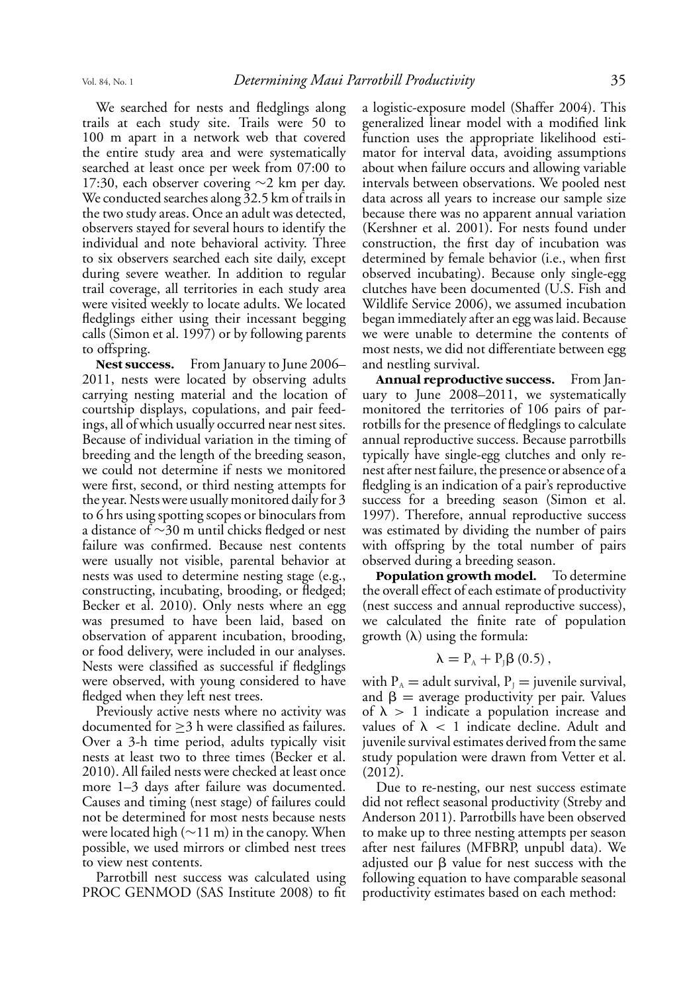We searched for nests and fledglings along trails at each study site. Trails were 50 to 100 m apart in a network web that covered the entire study area and were systematically searched at least once per week from 07:00 to 17:30, each observer covering ∼2 km per day. We conducted searches along 32.5 km of trails in the two study areas. Once an adult was detected, observers stayed for several hours to identify the individual and note behavioral activity. Three to six observers searched each site daily, except during severe weather. In addition to regular trail coverage, all territories in each study area were visited weekly to locate adults. We located fledglings either using their incessant begging calls (Simon et al. 1997) or by following parents to offspring.

Nest success. From January to June 2006– 2011, nests were located by observing adults carrying nesting material and the location of courtship displays, copulations, and pair feedings, all of which usually occurred near nest sites. Because of individual variation in the timing of breeding and the length of the breeding season, we could not determine if nests we monitored were first, second, or third nesting attempts for the year. Nests were usually monitored daily for 3 to 6 hrs using spotting scopes or binoculars from a distance of ∼30 m until chicks fledged or nest failure was confirmed. Because nest contents were usually not visible, parental behavior at nests was used to determine nesting stage (e.g., constructing, incubating, brooding, or fledged; Becker et al. 2010). Only nests where an egg was presumed to have been laid, based on observation of apparent incubation, brooding, or food delivery, were included in our analyses. Nests were classified as successful if fledglings were observed, with young considered to have fledged when they left nest trees.

Previously active nests where no activity was documented for ≥3 h were classified as failures. Over a 3-h time period, adults typically visit nests at least two to three times (Becker et al. 2010). All failed nests were checked at least once more 1–3 days after failure was documented. Causes and timing (nest stage) of failures could not be determined for most nests because nests were located high (∼11 m) in the canopy. When possible, we used mirrors or climbed nest trees to view nest contents.

Parrotbill nest success was calculated using PROC GENMOD (SAS Institute 2008) to fit a logistic-exposure model (Shaffer 2004). This generalized linear model with a modified link function uses the appropriate likelihood estimator for interval data, avoiding assumptions about when failure occurs and allowing variable intervals between observations. We pooled nest data across all years to increase our sample size because there was no apparent annual variation (Kershner et al. 2001). For nests found under construction, the first day of incubation was determined by female behavior (i.e., when first observed incubating). Because only single-egg clutches have been documented (U.S. Fish and Wildlife Service 2006), we assumed incubation began immediately after an egg was laid. Because we were unable to determine the contents of most nests, we did not differentiate between egg and nestling survival.

**Annual reproductive success.** From January to June 2008–2011, we systematically monitored the territories of 106 pairs of parrotbills for the presence of fledglings to calculate annual reproductive success. Because parrotbills typically have single-egg clutches and only renest after nest failure, the presence or absence of a fledgling is an indication of a pair's reproductive success for a breeding season (Simon et al. 1997). Therefore, annual reproductive success was estimated by dividing the number of pairs with offspring by the total number of pairs observed during a breeding season.<br>**Population growth model.** To determine

Population growth model. the overall effect of each estimate of productivity (nest success and annual reproductive success), we calculated the finite rate of population growth  $(\lambda)$  using the formula:

$$
\lambda = P_{A} + P_{J}\beta (0.5),
$$

with  $P_A$  = adult survival,  $P_J$  = juvenile survival, and  $\beta$  = average productivity per pair. Values of  $\lambda > 1$  indicate a population increase and values of  $\lambda < 1$  indicate decline. Adult and juvenile survival estimates derived from the same study population were drawn from Vetter et al. (2012).

Due to re-nesting, our nest success estimate did not reflect seasonal productivity (Streby and Anderson 2011). Parrotbills have been observed to make up to three nesting attempts per season after nest failures (MFBRP, unpubl data). We adjusted our  $\beta$  value for nest success with the following equation to have comparable seasonal productivity estimates based on each method: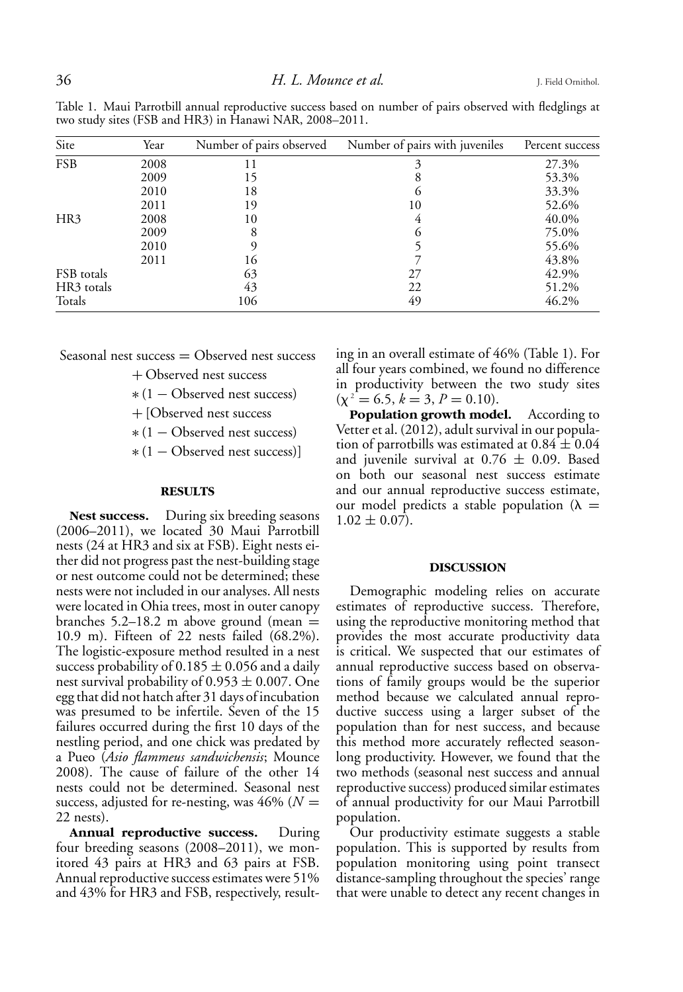| Site       | Year | Number of pairs observed | Number of pairs with juveniles | Percent success |
|------------|------|--------------------------|--------------------------------|-----------------|
| <b>FSB</b> | 2008 | 11                       | 3                              | 27.3%           |
|            | 2009 | 15                       | 8                              | 53.3%           |
|            | 2010 | 18                       | $\Omega$                       | 33.3%           |
|            | 2011 | 19                       | 10                             | 52.6%           |
| HR3        | 2008 | 10                       | 4                              | 40.0%           |
|            | 2009 | 8                        | $\Omega$                       | 75.0%           |
|            | 2010 |                          |                                | 55.6%           |
|            | 2011 | 16                       |                                | 43.8%           |
| FSB totals |      | 63                       | 27                             | 42.9%           |
| HR3 totals |      | 43                       | 22                             | 51.2%           |
| Totals     |      | 106                      | 49                             | 46.2%           |

Table 1. Maui Parrotbill annual reproductive success based on number of pairs observed with fledglings at two study sites (FSB and HR3) in Hanawi NAR, 2008–2011.

Seasonal nest success  $=$  Observed nest success

+ Observed nest success

∗ (1 − Observed nest success)

+ [Observed nest success

∗ (1 − Observed nest success)

∗ (1 − Observed nest success)]

#### **RESULTS**

Nest success. During six breeding seasons (2006–2011), we located 30 Maui Parrotbill nests (24 at HR3 and six at FSB). Eight nests either did not progress past the nest-building stage or nest outcome could not be determined; these nests were not included in our analyses. All nests were located in Ohia trees, most in outer canopy branches  $5.2-18.2$  m above ground (mean  $=$ 10.9 m). Fifteen of 22 nests failed (68.2%). The logistic-exposure method resulted in a nest success probability of  $0.185 \pm 0.056$  and a daily nest survival probability of  $0.953 \pm 0.007$ . One egg that did not hatch after 31 days of incubation was presumed to be infertile. Seven of the 15 failures occurred during the first 10 days of the nestling period, and one chick was predated by a Pueo (*Asio flammeus sandwichensis*; Mounce 2008). The cause of failure of the other 14 nests could not be determined. Seasonal nest success, adjusted for re-nesting, was  $46\%$  ( $N =$ 22 nests).

**Annual reproductive success.** During four breeding seasons (2008–2011), we monitored 43 pairs at HR3 and 63 pairs at FSB. Annual reproductive success estimates were 51% and 43% for HR3 and FSB, respectively, resulting in an overall estimate of 46% (Table 1). For all four years combined, we found no difference in productivity between the two study sites  $(\chi^2 = 6.5, k = 3, P = 0.10).$ 

**Population growth model.** According to Vetter et al. (2012), adult survival in our population of parrotbills was estimated at  $0.84 \pm 0.04$ and juvenile survival at  $0.76 \pm 0.09$ . Based on both our seasonal nest success estimate and our annual reproductive success estimate, our model predicts a stable population  $(\lambda =$  $1.02 \pm 0.07$ ).

## **DISCUSSION**

Demographic modeling relies on accurate estimates of reproductive success. Therefore, using the reproductive monitoring method that provides the most accurate productivity data is critical. We suspected that our estimates of annual reproductive success based on observations of family groups would be the superior method because we calculated annual reproductive success using a larger subset of the population than for nest success, and because this method more accurately reflected seasonlong productivity. However, we found that the two methods (seasonal nest success and annual reproductive success) produced similar estimates of annual productivity for our Maui Parrotbill population.

Our productivity estimate suggests a stable population. This is supported by results from population monitoring using point transect distance-sampling throughout the species' range that were unable to detect any recent changes in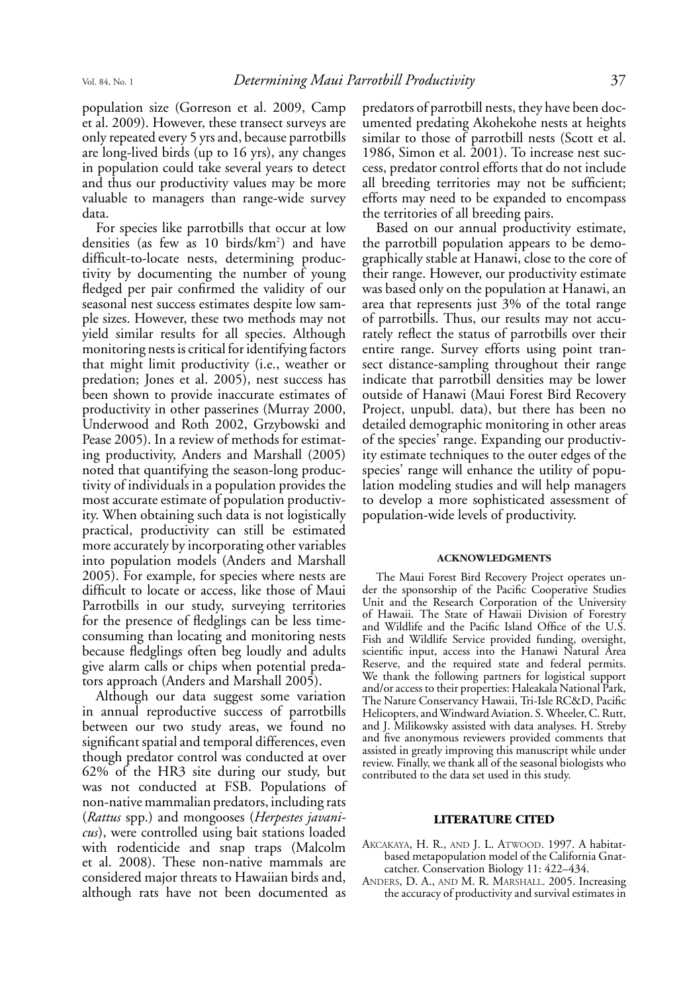population size (Gorreson et al. 2009, Camp et al. 2009). However, these transect surveys are only repeated every 5 yrs and, because parrotbills are long-lived birds (up to 16 yrs), any changes in population could take several years to detect and thus our productivity values may be more valuable to managers than range-wide survey data.

For species like parrotbills that occur at low densities (as few as 10 birds/km<sup>2</sup>) and have difficult-to-locate nests, determining productivity by documenting the number of young fledged per pair confirmed the validity of our seasonal nest success estimates despite low sample sizes. However, these two methods may not yield similar results for all species. Although monitoring nests is critical for identifying factors that might limit productivity (i.e., weather or predation; Jones et al. 2005), nest success has been shown to provide inaccurate estimates of productivity in other passerines (Murray 2000, Underwood and Roth 2002, Grzybowski and Pease 2005). In a review of methods for estimating productivity, Anders and Marshall (2005) noted that quantifying the season-long productivity of individuals in a population provides the most accurate estimate of population productivity. When obtaining such data is not logistically practical, productivity can still be estimated more accurately by incorporating other variables into population models (Anders and Marshall 2005). For example, for species where nests are difficult to locate or access, like those of Maui Parrotbills in our study, surveying territories for the presence of fledglings can be less timeconsuming than locating and monitoring nests because fledglings often beg loudly and adults give alarm calls or chips when potential predators approach (Anders and Marshall 2005).

Although our data suggest some variation in annual reproductive success of parrotbills between our two study areas, we found no significant spatial and temporal differences, even though predator control was conducted at over 62% of the HR3 site during our study, but was not conducted at FSB. Populations of non-native mammalian predators, including rats (*Rattus* spp.) and mongooses (*Herpestes javanicus*), were controlled using bait stations loaded with rodenticide and snap traps (Malcolm et al. 2008). These non-native mammals are considered major threats to Hawaiian birds and, although rats have not been documented as

predators of parrotbill nests, they have been documented predating Akohekohe nests at heights similar to those of parrotbill nests (Scott et al. 1986, Simon et al. 2001). To increase nest success, predator control efforts that do not include all breeding territories may not be sufficient; efforts may need to be expanded to encompass the territories of all breeding pairs.

Based on our annual productivity estimate, the parrotbill population appears to be demographically stable at Hanawi, close to the core of their range. However, our productivity estimate was based only on the population at Hanawi, an area that represents just 3% of the total range of parrotbills. Thus, our results may not accurately reflect the status of parrotbills over their entire range. Survey efforts using point transect distance-sampling throughout their range indicate that parrotbill densities may be lower outside of Hanawi (Maui Forest Bird Recovery Project, unpubl. data), but there has been no detailed demographic monitoring in other areas of the species' range. Expanding our productivity estimate techniques to the outer edges of the species' range will enhance the utility of population modeling studies and will help managers to develop a more sophisticated assessment of population-wide levels of productivity.

#### **ACKNOWLEDGMENTS**

The Maui Forest Bird Recovery Project operates under the sponsorship of the Pacific Cooperative Studies Unit and the Research Corporation of the University of Hawaii. The State of Hawaii Division of Forestry and Wildlife and the Pacific Island Office of the U.S. Fish and Wildlife Service provided funding, oversight, scientific input, access into the Hanawi Natural Area Reserve, and the required state and federal permits. We thank the following partners for logistical support and/or access to their properties: Haleakala National Park, The Nature Conservancy Hawaii, Tri-Isle RC&D, Pacific Helicopters, andWindward Aviation. S.Wheeler, C. Rutt, and J. Milikowsky assisted with data analyses. H. Streby and five anonymous reviewers provided comments that assisted in greatly improving this manuscript while under review. Finally, we thank all of the seasonal biologists who contributed to the data set used in this study.

#### **LITERATURE CITED**

- AKCAKAYA, H. R., AND J. L. ATWOOD. 1997. A habitatbased metapopulation model of the California Gnatcatcher. Conservation Biology 11: 422–434.
- ANDERS, D. A., AND M. R. MARSHALL. 2005. Increasing the accuracy of productivity and survival estimates in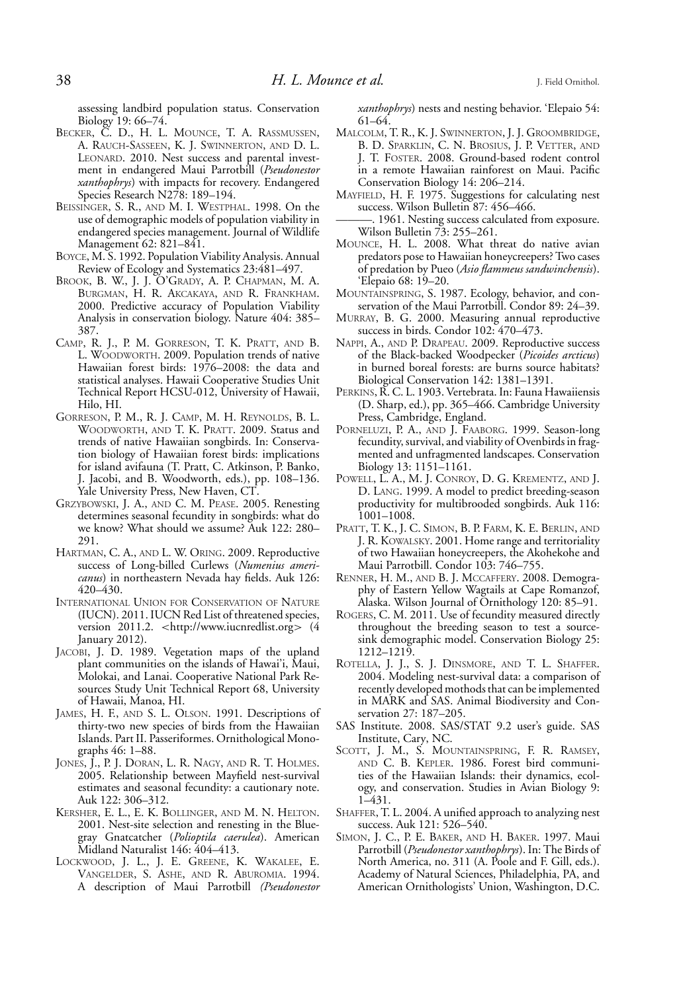assessing landbird population status. Conservation Biology 19: 66–74.

- BECKER, C. D., H. L. MOUNCE, T. A. RASSMUSSEN, A. RAUCH-SASSEEN, K. J. SWINNERTON, AND D. L. LEONARD. 2010. Nest success and parental investment in endangered Maui Parrotbill (*Pseudonestor xanthophrys*) with impacts for recovery. Endangered Species Research N278: 189–194.
- BEISSINGER, S. R., AND M. I. WESTPHAL. 1998. On the use of demographic models of population viability in endangered species management. Journal of Wildlife Management 62: 821–841.
- BOYCE, M. S. 1992. Population Viability Analysis. Annual Review of Ecology and Systematics 23:481–497.
- BROOK, B. W., J. J. O'GRADY, A. P. CHAPMAN, M. A. BURGMAN, H. R. AKCAKAYA, AND R. FRANKHAM. 2000. Predictive accuracy of Population Viability Analysis in conservation biology. Nature 404: 385– 387.
- CAMP, R. J., P. M. GORRESON, T. K. PRATT, AND B. L. WOODWORTH. 2009. Population trends of native Hawaiian forest birds: 1976–2008: the data and statistical analyses. Hawaii Cooperative Studies Unit Technical Report HCSU-012, University of Hawaii, Hilo, HI.
- GORRESON, P. M., R. J. CAMP, M. H. REYNOLDS, B. L. WOODWORTH, AND T. K. PRATT. 2009. Status and trends of native Hawaiian songbirds. In: Conservation biology of Hawaiian forest birds: implications for island avifauna (T. Pratt, C. Atkinson, P. Banko, J. Jacobi, and B. Woodworth, eds.), pp. 108–136. Yale University Press, New Haven, CT.
- GRZYBOWSKI, J. A., AND C. M. PEASE. 2005. Renesting determines seasonal fecundity in songbirds: what do we know? What should we assume? Auk 122: 280– 291.
- HARTMAN, C. A., AND L. W. ORING. 2009. Reproductive success of Long-billed Curlews (*Numenius americanus*) in northeastern Nevada hay fields. Auk 126: 420–430.
- INTERNATIONAL UNION FOR CONSERVATION OF NATURE (IUCN). 2011. IUCN Red List of threatened species, version 2011.2. *<*http://www.iucnredlist.org*>* (4 January 2012).
- JACOBI, J. D. 1989. Vegetation maps of the upland plant communities on the islands of Hawai'i, Maui, Molokai, and Lanai. Cooperative National Park Resources Study Unit Technical Report 68, University of Hawaii, Manoa, HI.
- JAMES, H. F., AND S. L. OLSON. 1991. Descriptions of thirty-two new species of birds from the Hawaiian Islands. Part II. Passeriformes. Ornithological Monographs 46: 1–88.
- JONES, J., P. J. DORAN, L. R. NAGY, AND R. T. HOLMES. 2005. Relationship between Mayfield nest-survival estimates and seasonal fecundity: a cautionary note. Auk 122: 306–312.
- KERSHER, E. L., E. K. BOLLINGER, AND M. N. HELTON. 2001. Nest-site selection and renesting in the Bluegray Gnatcatcher (*Polioptila caerulea*). American Midland Naturalist 146: 404–413.
- LOCKWOOD, J. L., J. E. GREENE, K. WAKALEE, E. VANGELDER, S. ASHE, AND R. ABUROMIA. 1994. A description of Maui Parrotbill *(Pseudonestor*

*xanthophrys*) nests and nesting behavior. 'Elepaio 54: 61–64.

- MALCOLM, T. R., K. J. SWINNERTON, J. J. GROOMBRIDGE, B. D. SPARKLIN, C. N. BROSIUS, J. P. VETTER, AND J. T. FOSTER. 2008. Ground-based rodent control in a remote Hawaiian rainforest on Maui. Pacific Conservation Biology 14: 206–214.
- MAYFIELD, H. F. 1975. Suggestions for calculating nest success. Wilson Bulletin 87: 456–466.
- 1961. Nesting success calculated from exposure. Wilson Bulletin 73: 255–261.
- MOUNCE, H. L. 2008. What threat do native avian predators pose to Hawaiian honeycreepers? Two cases of predation by Pueo (*Asio flammeus sandwinchensis*). 'Elepaio 68: 19–20.
- MOUNTAINSPRING, S. 1987. Ecology, behavior, and conservation of the Maui Parrotbill. Condor 89: 24–39.
- MURRAY, B. G. 2000. Measuring annual reproductive success in birds. Condor 102: 470–473.
- NAPPI, A., AND P. DRAPEAU. 2009. Reproductive success of the Black-backed Woodpecker (*Picoides arcticus*) in burned boreal forests: are burns source habitats? Biological Conservation 142: 1381–1391.
- PERKINS, R. C. L. 1903. Vertebrata. In: Fauna Hawaiiensis (D. Sharp, ed.), pp. 365–466. Cambridge University Press, Cambridge, England.
- PORNELUZI, P. A., AND J. FAABORG. 1999. Season-long fecundity, survival, and viability of Ovenbirds in fragmented and unfragmented landscapes. Conservation Biology 13: 1151–1161.
- POWELL, L. A., M. J. CONROY, D. G. KREMENTZ, AND J. D. LANG. 1999. A model to predict breeding-season productivity for multibrooded songbirds. Auk 116: 1001–1008.
- PRATT, T. K., J. C. SIMON, B. P. FARM, K. E. BERLIN, AND J. R. KOWALSKY. 2001. Home range and territoriality of two Hawaiian honeycreepers, the Akohekohe and Maui Parrotbill. Condor 103: 746–755.
- RENNER, H. M., AND B. J. MCCAFFERY. 2008. Demography of Eastern Yellow Wagtails at Cape Romanzof, Alaska. Wilson Journal of Ornithology 120: 85–91.
- ROGERS, C. M. 2011. Use of fecundity measured directly throughout the breeding season to test a sourcesink demographic model. Conservation Biology 25: 1212–1219.
- ROTELLA, J. J., S. J. DINSMORE, AND T. L. SHAFFER. 2004. Modeling nest-survival data: a comparison of recently developed mothods that can be implemented in MARK and SAS. Animal Biodiversity and Conservation 27: 187–205.
- SAS Institute. 2008. SAS/STAT 9.2 user's guide. SAS Institute, Cary, NC.
- SCOTT, J. M., S. MOUNTAINSPRING, F. R. RAMSEY, AND C. B. KEPLER. 1986. Forest bird communities of the Hawaiian Islands: their dynamics, ecology, and conservation. Studies in Avian Biology 9: 1–431.
- SHAFFER, T. L. 2004. A unified approach to analyzing nest success. Auk 121: 526–540.
- SIMON, J. C., P. E. BAKER, AND H. BAKER. 1997. Maui Parrotbill (*Pseudonestor xanthophrys*). In: The Birds of North America, no. 311 (A. Poole and F. Gill, eds.). Academy of Natural Sciences, Philadelphia, PA, and American Ornithologists' Union, Washington, D.C.